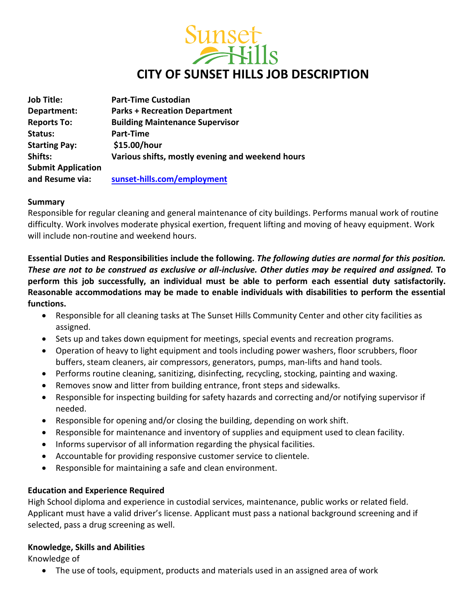

| <b>Job Title:</b>         | <b>Part-Time Custodian</b>                       |
|---------------------------|--------------------------------------------------|
| Department:               | <b>Parks + Recreation Department</b>             |
| <b>Reports To:</b>        | <b>Building Maintenance Supervisor</b>           |
| Status:                   | Part-Time                                        |
| <b>Starting Pay:</b>      | \$15.00/hour                                     |
| Shifts:                   | Various shifts, mostly evening and weekend hours |
| <b>Submit Application</b> |                                                  |
| and Resume via:           | sunset-hills.com/employment                      |

#### **Summary**

Responsible for regular cleaning and general maintenance of city buildings. Performs manual work of routine difficulty. Work involves moderate physical exertion, frequent lifting and moving of heavy equipment. Work will include non-routine and weekend hours.

**Essential Duties and Responsibilities include the following.** *The following duties are normal for this position. These are not to be construed as exclusive or all-inclusive. Other duties may be required and assigned.* **To perform this job successfully, an individual must be able to perform each essential duty satisfactorily. Reasonable accommodations may be made to enable individuals with disabilities to perform the essential functions.**

- Responsible for all cleaning tasks at The Sunset Hills Community Center and other city facilities as assigned.
- Sets up and takes down equipment for meetings, special events and recreation programs.
- Operation of heavy to light equipment and tools including power washers, floor scrubbers, floor buffers, steam cleaners, air compressors, generators, pumps, man-lifts and hand tools.
- Performs routine cleaning, sanitizing, disinfecting, recycling, stocking, painting and waxing.
- Removes snow and litter from building entrance, front steps and sidewalks.
- Responsible for inspecting building for safety hazards and correcting and/or notifying supervisor if needed.
- Responsible for opening and/or closing the building, depending on work shift.
- Responsible for maintenance and inventory of supplies and equipment used to clean facility.
- Informs supervisor of all information regarding the physical facilities.
- Accountable for providing responsive customer service to clientele.
- Responsible for maintaining a safe and clean environment.

## **Education and Experience Required**

High School diploma and experience in custodial services, maintenance, public works or related field. Applicant must have a valid driver's license. Applicant must pass a national background screening and if selected, pass a drug screening as well.

## **Knowledge, Skills and Abilities**

Knowledge of

The use of tools, equipment, products and materials used in an assigned area of work